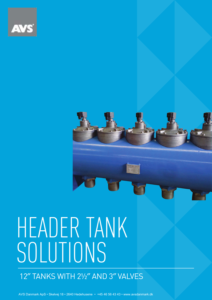

12″ TANKS WITH 2½″ AND 3″ VALVES

AVS Danmark ApS • Skelvej 18 • 2640 Hedehusene • +45 46 56 43 43 • www.avsdanmark.dk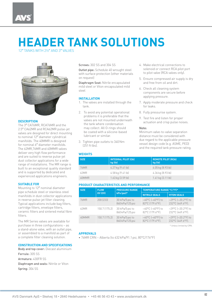12″ TANKS WITH 2½″ AND 3″ VALVES



### **DESCRIPTION**

The 3″ CA76MR, RCA76MR and the 2.5″ CA62MR and RCA62MR pulse-jet valves are designed for direct mounting to nominal 12″ diameter cylindrical manifolds. The 40MMR is designed for nominal 6″ diameter manifolds. The 62MR,76MR and 40MMR valves deliver very high flow performance and are suited to reverse pulse-jet dust collector applications for a wide range of installations. The MR range is built to an exceptional quality standard and is supported by dedicated and experienced applications engineers.

### **SUITABLE FOR**

Mounting to 12″ nominal diameter pipe schedule steel or stainless steel manifolds in dust collector applications in reverse pulse-jet filter cleaning. Typical applications include bag filters, cartridge filters, envelope filters, ceramic filters and sintered metal fibre filters

The MR Series valves are available for purchase in three configurations – as a stand-alone valve, with an outlet pipe, or assembled to a manifold as part of a complete filter cleaning solution.

### **CONSTRUCTION AND SPECIFICATIONS**

Body and top cover: Diecast aluminium Ferrule: 305 SS Armature: 430FR SS Diaphragm and seals: Nitrile or Viton Spring: 304 SS

### Screws: 302 SS and 304 SS

Outlet pipe: Schedule 40 wrought steel with surface protection (other materials on request)

Diaphragm Seat: Nitrile encapsulated mild steel or Viton encapsulated mild steel

### **INSTALLATION**

- 1. The valves are installed through the tank.
- 2. To avoid any potential operational problems it is preferable that the valves are not mounted underneath the tank where condensation may collect. All O-rings should be coated with a silicone-based lubricant or similar.
- 3. Tighten pipe outlets to 340Nm  $(251 ft·lbs)$ .

### **WEIGHTS**

- 4. Make electrical connections to solenoid or connect RCA pilot port to pilot valve (RCA valves only).
- 5. Ensure compressed air supply is dry and free from oil and dirt.
- 6. Check all cleaning system components are secure before applying pressure.
- 7. Apply moderate pressure and check for leaks.
- 8. Fully pressurise system.
- 9. Test fire and listen for proper actuation and crisp pulse noises.

### Note:

Minimum valve-to-valve separation distance must be considered with due regard to the applicable pressure vessel design code (e.g. ASME, PED) and the required tank pressure rating.

| <b>SIZE</b> | <b>INTEGRAL PILOT (CA)</b><br>kg (lb) | <b>REMOTE PILOT (RCA)</b><br>kg (lb) |  |
|-------------|---------------------------------------|--------------------------------------|--|
| 76MR        | 4.27 kg (9.41 lb)                     | $4.05$ kg $(8.93$ lb)                |  |
| 62MR        | 4.58 kg (9.41 lb)                     | 4.36 kg (8.93 lb)                    |  |
| 40MMR       | $1.63$ kg $(3.59$ lb]                 | $1.41$ kg $(3.11$ lb)                |  |

### **PRODUCT CHARACTERISTICS AND PERFORMANCE**

| <b>SIZE</b> | <b>FLOW</b>   | <b>PRESSURE RANGE</b>              | <b>TEMPERATURE RANGE °C (°F)*</b>                       |                                                            |  |  |
|-------------|---------------|------------------------------------|---------------------------------------------------------|------------------------------------------------------------|--|--|
|             | KV (CV)       | kPa (psi)*                         | <b>NITRILE SEALS</b>                                    | <b>VITON SEALS</b>                                         |  |  |
| 76MR        | 200 [233]     | 30 kPa/5 psi to<br>860 kPa/125 psi | $-40^{\circ}$ C $[-40^{\circ}$ F) to<br>82°C [179.6°F]. | $-29^{\circ}$ C $[-20.2^{\circ}$ F) to<br>232°C (449.6°F). |  |  |
| 62MR        | 150.7 (175.2) | 30 kPa/5 psi to<br>860 kPa/125 psi | $-40^{\circ}$ C $[-40^{\circ}$ F) to<br>82°C [179.6°F]. | $-29^{\circ}$ C $[-20.2^{\circ}$ F) to<br>232°C (449.6°F). |  |  |
| 40MMR       | 150.7 (175.2) | 30 kPa/5 psi to<br>860 kPa/125 psi | $-40^{\circ}$ C $[-40^{\circ}$ F) to<br>82°C [179.6°F]. | $-29^{\circ}$ C $[-20.2^{\circ}$ F) to<br>232°C (449.6°F). |  |  |

\* Unless limited by CRN.

#### **APPROVALS**

• 76MR CRN – Alberta (to 632 kPa/91.1 psi, 80°C/176°F)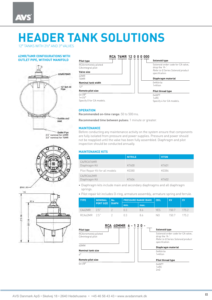12″ TANKS WITH 2½″ AND 3″ VALVES

### **OUTLET PIPE, WITHOUT MANIFOLD**



Outlet Pine 2.5˝ nominal for 62MR 3.0˝ nominal for 76MR







### **OPERATION**

Recommended on-time range: 50 to 500 ms.

Recommended time between pulses: 1 minute or greater.

### **MAINTENANCE**

Before conducting any maintenance activity on the system ensure that components are fully isolated from pressure and power supplies. Pressure and power should not be reapplied until the valve has been fully assembled. Diaphragm and pilot inspection should be conducted annually.

### **MAINTENANCE KITS**

|                                 | <b>NITRILE</b> | <b>VITON</b> |
|---------------------------------|----------------|--------------|
| CA/RCA76MR<br>Diaphragm Kit     | K7600          | K7601        |
| Pilot Repair Kit for all models | K0380          | K0384        |
| CA/RCA62MR<br>Diaphragm Kit     | K7604          | K7602        |

- Diaphragm kits include main and secondary diaphragms and all diaphragm springs.
- Pilot repair kit includes O-ring, armature assembly, armature spring and ferrule.

| <b>TYPE</b>  | <b>NOMINAL</b><br><b>PORT SIZE</b> | No.<br><b>DIAPH</b> | <b>PRESSURE RANGE (BAR)</b> |      | COIL | <b>KV</b> | <b>CV</b> |
|--------------|------------------------------------|---------------------|-----------------------------|------|------|-----------|-----------|
|              |                                    |                     | min.                        | max. |      |           |           |
| CA62MR 2.5"  |                                    |                     | (1.3)                       | 86   | YFS. | 150.7     | 175.2     |
| RCA62MR 2.5" |                                    |                     | $\cup$ 3                    | 86   | NO.  | 150.7     | 1752      |

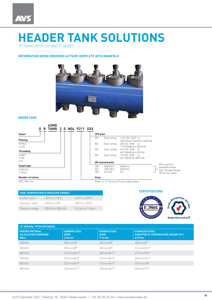12″ TANKS WITH 2½″ AND 3″ VALVES

### **INFORMATION WHEN ORDERING 62/76MR COMPLETE WITH MANIFOLD**



### **ORDER CODE**



available below. See 'Voltage Range QR Series' table.

### **TANK TEMPERATURE & PRESSURE RANGES** Carbon steel −40°C to 110°C −40°F to 230°F Stainless steel −50°C to 93°C −58°F to 199°F Pressure range 100 kPa to 800 kPa 14.5 psi to 116 psi

### **CERTIFICATIONS**



| 12" MINIMAL PITCH DISTANCES                                          |                                                 |                                                 |                                                                            |  |  |  |
|----------------------------------------------------------------------|-------------------------------------------------|-------------------------------------------------|----------------------------------------------------------------------------|--|--|--|
| <b>HEADER MATERIAL</b><br><b>CALCULATION STANDARD</b><br><b>WALL</b> | <b>CARBON STEEL</b><br><b>ASME</b><br>$6.35$ mm | <b>CARBON STEEL</b><br><b>ASME</b><br>$7.14$ mm | <b>STAINLESS STEEL</b><br>ASME/PED AT TEMPERATURE DESIGN 70°C<br>$4.57$ mm |  |  |  |
| 400 kPa                                                              | $203 \,\mathrm{mm}/8''$                         | $203 \,\mathrm{mm}/8''$                         | $203 \,\mathrm{mm}/8''$                                                    |  |  |  |
| 500 kPa                                                              | $203 \,\mathrm{mm}/8''$                         | $203 \,\mathrm{mm}/8''$                         | $214$ mm/8.4"                                                              |  |  |  |
| 600 kPa                                                              | $210 \,\mathrm{mm} / 8.3''$                     | $205 \,\mathrm{mm/s}$ .1"                       | 227 mm/8.9"                                                                |  |  |  |
| 700 kPa                                                              | $215 \,\mathrm{mm} / 8.5$ "                     | $210 \,\mathrm{mm} / 8.3''$                     | 240 mm/9.4"                                                                |  |  |  |
| 800 kPa                                                              | $225$ mm/8.9"                                   | $215 \,\mathrm{mm} / 8.5$ "                     | 257 mm/10"                                                                 |  |  |  |
| 860 kPa                                                              | $230 \text{ mm}/9.1$ "                          | 220 mm/8.7"                                     | 268 mm/11"                                                                 |  |  |  |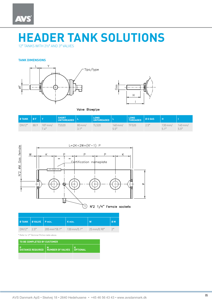12″ TANKS WITH 2½″ AND 3″ VALVES

### **TANK DIMENSIONS**





Valve Blowpipe

| <b>ØTANK</b> | I ØFA |                       | SHORT<br>UNTHREADED |                         | LONG<br>UNTHREADED   L |                    | LONG   ØGGAS |       |                             |                    |
|--------------|-------|-----------------------|---------------------|-------------------------|------------------------|--------------------|--------------|-------|-----------------------------|--------------------|
| <b>DN12"</b> |       | 88.9 187 mm/<br>7.4'' | <b>TS520</b>        | $80 \text{ mm}$<br>21'' | <b>TL520</b>           | $140$ mm/<br>5.5'' | TF520.       | 2.5'' | $130 \text{ mm}$ /<br>5.1'' | $140$ mm/<br>5.5'' |



 $\hat{(\,\,)}$  N°2 1/4" Female sockets

|               | $\boxed{\emptyset}$ TANK $\boxed{\emptyset}$ VALVE $\boxed{\text{P min.}}$ |                             | K min.                 | W                         | <b>ØM</b> |
|---------------|----------------------------------------------------------------------------|-----------------------------|------------------------|---------------------------|-----------|
| $DN12''$ 2.5" |                                                                            | $205 \,\mathrm{mm}^*/8.1''$ | $130 \text{ mm}/5.1$ " | $25 \,\mathrm{mm}/0.98''$ | 2''       |

\* Refer to *12*″ *Nominal Pitches* table above.

| TO BE COMPLETED BY CUSTOMER |                                                 |  |  |  |  |
|-----------------------------|-------------------------------------------------|--|--|--|--|
|                             | DISTANCE REQUIRED   NUMBER OF VALVES   OPTIONAL |  |  |  |  |
|                             |                                                 |  |  |  |  |